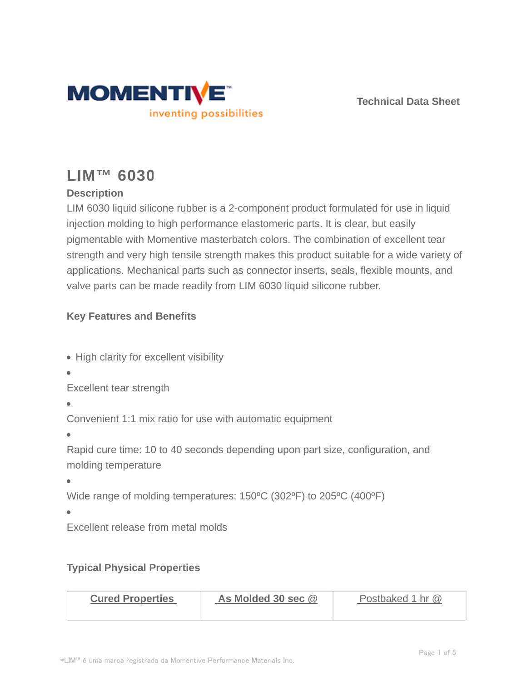

**Technical Data Sheet**

# **LIM™ 6030**

# **Description**

LIM 6030 liquid silicone rubber is a 2-component product formulated for use in liquid injection molding to high performance elastomeric parts. It is clear, but easily pigmentable with Momentive masterbatch colors. The combination of excellent tear strength and very high tensile strength makes this product suitable for a wide variety of applications. Mechanical parts such as connector inserts, seals, flexible mounts, and valve parts can be made readily from LIM 6030 liquid silicone rubber.

# **Key Features and Benefits**

- High clarity for excellent visibility
- 

Excellent tear strength

Convenient 1:1 mix ratio for use with automatic equipment

Rapid cure time: 10 to 40 seconds depending upon part size, configuration, and molding temperature

 $\blacksquare$ 

Wide range of molding temperatures: 150°C (302°F) to 205°C (400°F)

 $\overline{\phantom{a}}$ 

Excellent release from metal molds

### **Typical Physical Properties**

| <b>Cured Properties</b> | As Molded 30 sec @ | Postbaked 1 hr @ |
|-------------------------|--------------------|------------------|
|                         |                    |                  |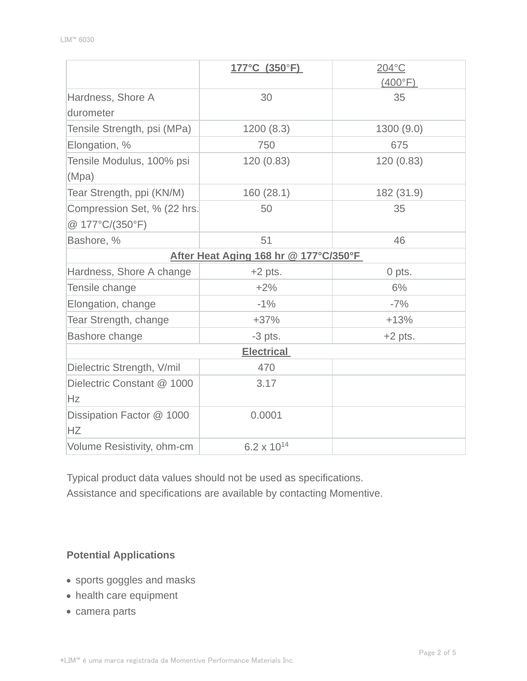|                                          | $177^{\circ}$ C (350 $^{\circ}$ F) | 204°C            |  |  |  |
|------------------------------------------|------------------------------------|------------------|--|--|--|
|                                          |                                    | $(400^{\circ}F)$ |  |  |  |
| Hardness, Shore A                        | 30                                 | 35               |  |  |  |
| durometer                                |                                    |                  |  |  |  |
| Tensile Strength, psi (MPa)<br>1200(8.3) |                                    | 1300(9.0)        |  |  |  |
| Elongation, %                            | 750                                | 675              |  |  |  |
| Tensile Modulus, 100% psi                | 120(0.83)                          | 120(0.83)        |  |  |  |
| (Mpa)                                    |                                    |                  |  |  |  |
| Tear Strength, ppi (KN/M)                | 160 (28.1)                         | 182 (31.9)       |  |  |  |
| Compression Set, % (22 hrs.              | 50                                 | 35               |  |  |  |
| @ 177°C/(350°F)                          |                                    |                  |  |  |  |
| Bashore, %                               | 51                                 | 46               |  |  |  |
| After Heat Aging 168 hr @ 177°C/350°F    |                                    |                  |  |  |  |
| Hardness, Shore A change                 | $+2$ pts.                          | 0 pts.           |  |  |  |
| Tensile change                           | $+2%$                              | 6%               |  |  |  |
| Elongation, change                       | $-1%$                              | $-7%$            |  |  |  |
| Tear Strength, change                    | $+37%$                             | $+13%$           |  |  |  |
| Bashore change                           | $-3$ pts.                          | $+2$ pts.        |  |  |  |
| <b>Electrical</b>                        |                                    |                  |  |  |  |
| Dielectric Strength, V/mil               | 470                                |                  |  |  |  |
| Dielectric Constant @ 1000               | 3.17                               |                  |  |  |  |
| Hz                                       |                                    |                  |  |  |  |
| Dissipation Factor @ 1000                | 0.0001                             |                  |  |  |  |
| <b>HZ</b>                                |                                    |                  |  |  |  |
| Volume Resistivity, ohm-cm               | $6.2 \times 10^{14}$               |                  |  |  |  |

Typical product data values should not be used as specifications. Assistance and specifications are available by contacting Momentive.

## **Potential Applications**

- sports goggles and masks
- health care equipment
- camera parts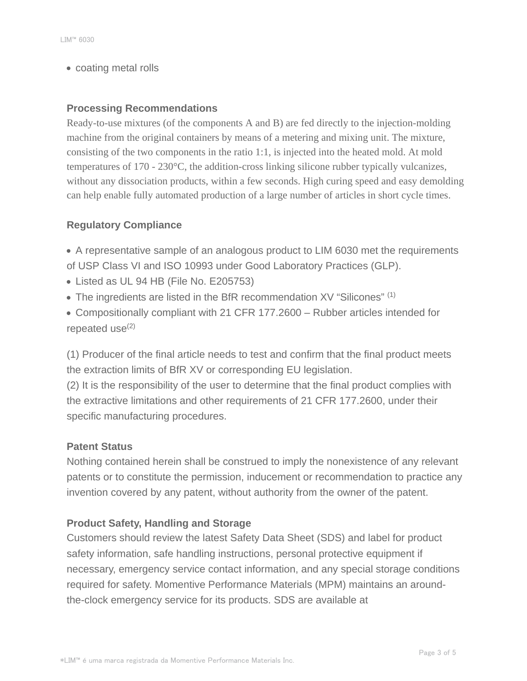• coating metal rolls

#### **Processing Recommendations**

Ready-to-use mixtures (of the components A and B) are fed directly to the injection-molding machine from the original containers by means of a metering and mixing unit. The mixture, consisting of the two components in the ratio 1:1, is injected into the heated mold. At mold temperatures of 170 - 230°C, the addition-cross linking silicone rubber typically vulcanizes, without any dissociation products, within a few seconds. High curing speed and easy demolding can help enable fully automated production of a large number of articles in short cycle times.

#### **Regulatory Compliance**

A representative sample of an analogous product to LIM 6030 met the requirements of USP Class VI and ISO 10993 under Good Laboratory Practices (GLP).

- Listed as UL 94 HB (File No. E205753)
- The ingredients are listed in the BfR recommendation XV "Silicones" (1)

Compositionally compliant with 21 CFR 177.2600 – Rubber articles intended for repeated use $(2)$ 

(1) Producer of the final article needs to test and confirm that the final product meets the extraction limits of BfR XV or corresponding EU legislation.

(2) It is the responsibility of the user to determine that the final product complies with the extractive limitations and other requirements of 21 CFR 177.2600, under their specific manufacturing procedures.

#### **Patent Status**

Nothing contained herein shall be construed to imply the nonexistence of any relevant patents or to constitute the permission, inducement or recommendation to practice any invention covered by any patent, without authority from the owner of the patent.

#### **Product Safety, Handling and Storage**

Customers should review the latest Safety Data Sheet (SDS) and label for product safety information, safe handling instructions, personal protective equipment if necessary, emergency service contact information, and any special storage conditions required for safety. Momentive Performance Materials (MPM) maintains an aroundthe-clock emergency service for its products. SDS are available at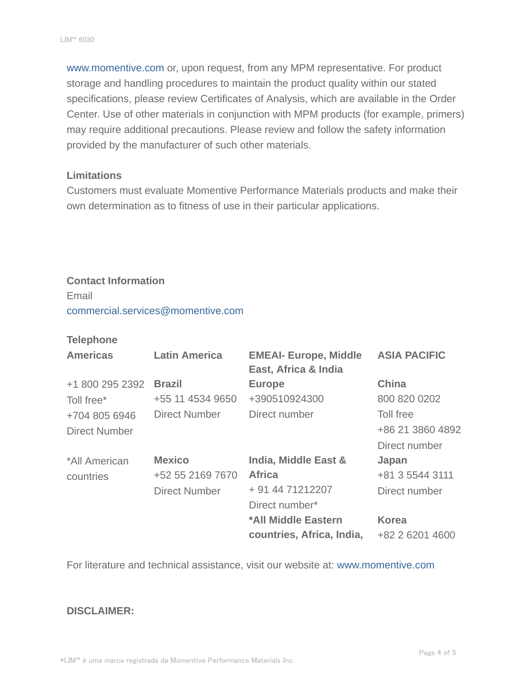www.momentive.com or, upon request, from any MPM representative. For product storage and handling procedures to maintain the product quality within our stated specifications, please review Certificates of Analysis, which are available in the Order Center. Use of other materials in conjunction with MPM products (for example, primers) may require additional precautions. Please review and follow the safety information provided by the manufacturer of such other materials.

#### **Limitations**

Customers must evaluate Momentive Performance Materials products and make their own determination as to fitness of use in their particular applications.

# **Contact Information**

Email commercial.services@momentive.com

#### **Telephone**

| <b>Americas</b> | <b>Latin America</b> | <b>EMEAI- Europe, Middle</b><br>East, Africa & India | <b>ASIA PACIFIC</b> |
|-----------------|----------------------|------------------------------------------------------|---------------------|
| +1 800 295 2392 | <b>Brazil</b>        | <b>Europe</b>                                        | <b>China</b>        |
| Toll free*      | +55 11 4534 9650     | +390510924300                                        | 800 820 0202        |
| +704 805 6946   | <b>Direct Number</b> | Direct number                                        | Toll free           |
| Direct Number   |                      |                                                      | +86 21 3860 4892    |
|                 |                      |                                                      | Direct number       |
| *All American   | <b>Mexico</b>        | <b>India, Middle East &amp;</b>                      | Japan               |
| countries       | +52 55 2169 7670     | <b>Africa</b>                                        | +81 3 5544 3111     |
|                 | <b>Direct Number</b> | + 91 44 71212207                                     | Direct number       |
|                 |                      | Direct number*                                       |                     |
|                 |                      | *All Middle Eastern                                  | <b>Korea</b>        |
|                 |                      | countries, Africa, India,                            | +82 2 6201 4600     |

For literature and technical assistance, visit our website at: www.momentive.com

#### **DISCLAIMER:**